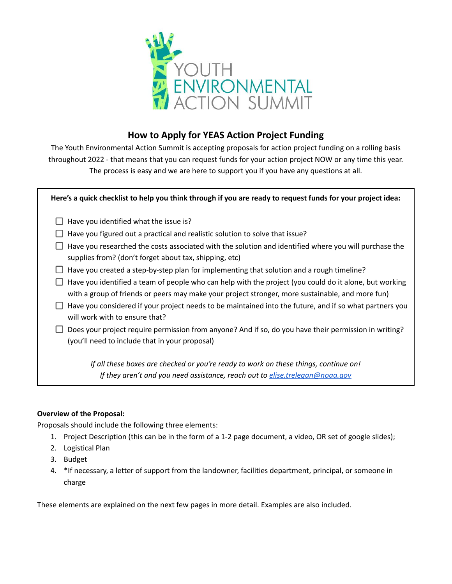

# **How to Apply for YEAS Action Project Funding**

The Youth Environmental Action Summit is accepting proposals for action project funding on a rolling basis throughout 2022 - that means that you can request funds for your action project NOW or any time this year. The process is easy and we are here to support you if you have any questions at all.

# Here's a quick checklist to help you think through if you are ready to request funds for your project idea:

- $\Box$  Have you identified what the issue is?
- $\Box$  Have you figured out a practical and realistic solution to solve that issue?
- $\Box$  Have you researched the costs associated with the solution and identified where you will purchase the supplies from? (don't forget about tax, shipping, etc)
- $\Box$  Have you created a step-by-step plan for implementing that solution and a rough timeline?
- $\Box$  Have you identified a team of people who can help with the project (you could do it alone, but working with a group of friends or peers may make your project stronger, more sustainable, and more fun)
- $\Box$  Have you considered if your project needs to be maintained into the future, and if so what partners you will work with to ensure that?
- $\Box$  Does your project require permission from anyone? And if so, do you have their permission in writing? (you'll need to include that in your proposal)

*If all these boxes are checked or you're ready to work on these things, continue on! If they aren't and you need assistance, reach out to [elise.trelegan@noaa.gov](mailto:elise.trelegan@noaa.gov)*

# **Overview of the Proposal:**

Proposals should include the following three elements:

- 1. Project Description (this can be in the form of a 1-2 page document, a video, OR set of google slides);
- 2. Logistical Plan
- 3. Budget
- 4. \*If necessary, a letter of support from the landowner, facilities department, principal, or someone in charge

These elements are explained on the next few pages in more detail. Examples are also included.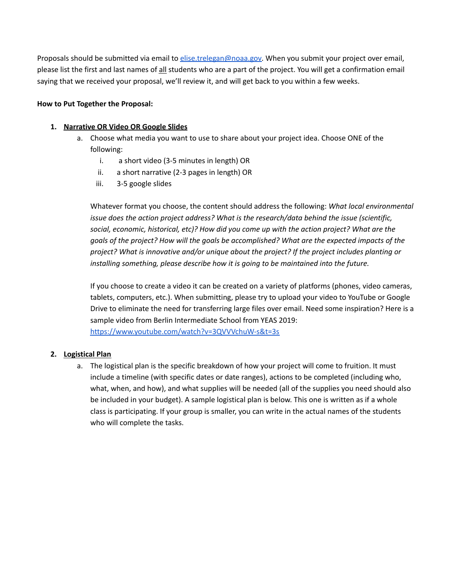Proposals should be submitted via email to [elise.trelegan@noaa.gov.](mailto:elise.trelegan@noaa.gov) When you submit your project over email, please list the first and last names of all students who are a part of the project. You will get a confirmation email saying that we received your proposal, we'll review it, and will get back to you within a few weeks.

#### **How to Put Together the Proposal:**

### **1. Narrative OR Video OR Google Slides**

- a. Choose what media you want to use to share about your project idea. Choose ONE of the following:
	- i. a short video (3-5 minutes in length) OR
	- ii. a short narrative (2-3 pages in length) OR
	- iii. 3-5 google slides

Whatever format you choose, the content should address the following: *What local environmental issue does the action project address? What is the research/data behind the issue (scientific, social, economic, historical, etc)? How did you come up with the action project? What are the goals of the project? How will the goals be accomplished? What are the expected impacts of the project? What is innovative and/or unique about the project? If the project includes planting or installing something, please describe how it is going to be maintained into the future.*

If you choose to create a video it can be created on a variety of platforms (phones, video cameras, tablets, computers, etc.). When submitting, please try to upload your video to YouTube or Google Drive to eliminate the need for transferring large files over email. Need some inspiration? Here is a sample video from Berlin Intermediate School from YEAS 2019: <https://www.youtube.com/watch?v=3QVVVchuW-s&t=3s>

#### **2. Logistical Plan**

a. The logistical plan is the specific breakdown of how your project will come to fruition. It must include a timeline (with specific dates or date ranges), actions to be completed (including who, what, when, and how), and what supplies will be needed (all of the supplies you need should also be included in your budget). A sample logistical plan is below. This one is written as if a whole class is participating. If your group is smaller, you can write in the actual names of the students who will complete the tasks.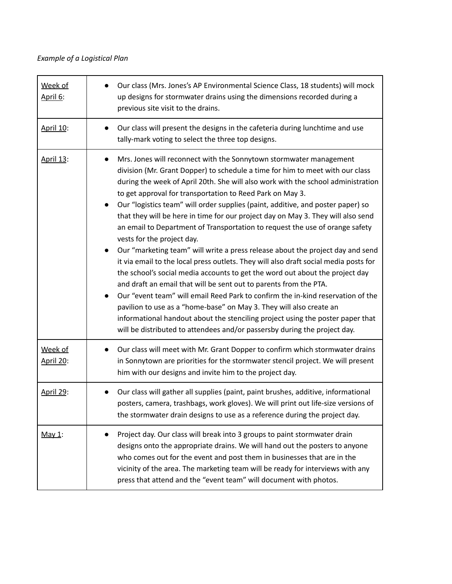# *Example of a Logistical Plan*

| Week of<br>April 6:         | Our class (Mrs. Jones's AP Environmental Science Class, 18 students) will mock<br>up designs for stormwater drains using the dimensions recorded during a<br>previous site visit to the drains.                                                                                                                                                                                                                                                                                                                                                                                                                                                                                                                                                                                                                                                                                                                                                                                                                                                                                                                                                                                                                                                                             |
|-----------------------------|-----------------------------------------------------------------------------------------------------------------------------------------------------------------------------------------------------------------------------------------------------------------------------------------------------------------------------------------------------------------------------------------------------------------------------------------------------------------------------------------------------------------------------------------------------------------------------------------------------------------------------------------------------------------------------------------------------------------------------------------------------------------------------------------------------------------------------------------------------------------------------------------------------------------------------------------------------------------------------------------------------------------------------------------------------------------------------------------------------------------------------------------------------------------------------------------------------------------------------------------------------------------------------|
| April 10:                   | Our class will present the designs in the cafeteria during lunchtime and use<br>tally-mark voting to select the three top designs.                                                                                                                                                                                                                                                                                                                                                                                                                                                                                                                                                                                                                                                                                                                                                                                                                                                                                                                                                                                                                                                                                                                                          |
| April 13:                   | Mrs. Jones will reconnect with the Sonnytown stormwater management<br>$\bullet$<br>division (Mr. Grant Dopper) to schedule a time for him to meet with our class<br>during the week of April 20th. She will also work with the school administration<br>to get approval for transportation to Reed Park on May 3.<br>Our "logistics team" will order supplies (paint, additive, and poster paper) so<br>$\bullet$<br>that they will be here in time for our project day on May 3. They will also send<br>an email to Department of Transportation to request the use of orange safety<br>vests for the project day.<br>Our "marketing team" will write a press release about the project day and send<br>it via email to the local press outlets. They will also draft social media posts for<br>the school's social media accounts to get the word out about the project day<br>and draft an email that will be sent out to parents from the PTA.<br>Our "event team" will email Reed Park to confirm the in-kind reservation of the<br>pavilion to use as a "home-base" on May 3. They will also create an<br>informational handout about the stenciling project using the poster paper that<br>will be distributed to attendees and/or passersby during the project day. |
| Week of<br><b>April 20:</b> | Our class will meet with Mr. Grant Dopper to confirm which stormwater drains<br>in Sonnytown are priorities for the stormwater stencil project. We will present<br>him with our designs and invite him to the project day.                                                                                                                                                                                                                                                                                                                                                                                                                                                                                                                                                                                                                                                                                                                                                                                                                                                                                                                                                                                                                                                  |
| April 29:                   | Our class will gather all supplies (paint, paint brushes, additive, informational<br>posters, camera, trashbags, work gloves). We will print out life-size versions of<br>the stormwater drain designs to use as a reference during the project day.                                                                                                                                                                                                                                                                                                                                                                                                                                                                                                                                                                                                                                                                                                                                                                                                                                                                                                                                                                                                                        |
| May 1:                      | Project day. Our class will break into 3 groups to paint stormwater drain<br>designs onto the appropriate drains. We will hand out the posters to anyone<br>who comes out for the event and post them in businesses that are in the<br>vicinity of the area. The marketing team will be ready for interviews with any<br>press that attend and the "event team" will document with photos.                                                                                                                                                                                                                                                                                                                                                                                                                                                                                                                                                                                                                                                                                                                                                                                                                                                                                  |